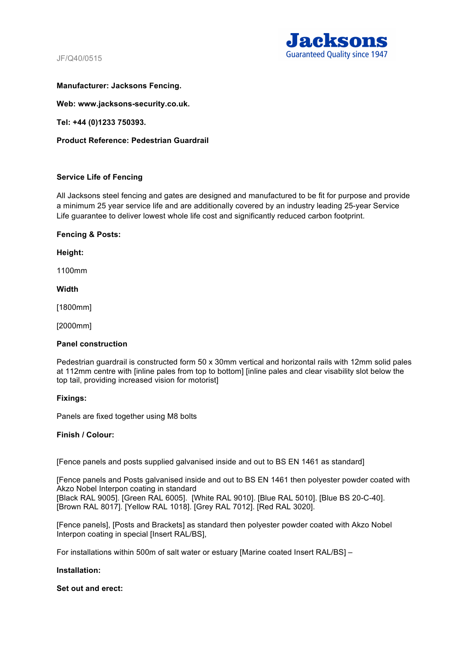JF/Q40/0515



# **Manufacturer: Jacksons Fencing.**

**Web: www.jacksons-security.co.uk.** 

**Tel: +44 (0)1233 750393.** 

**Product Reference: Pedestrian Guardrail** 

# **Service Life of Fencing**

All Jacksons steel fencing and gates are designed and manufactured to be fit for purpose and provide a minimum 25 year service life and are additionally covered by an industry leading 25-year Service Life guarantee to deliver lowest whole life cost and significantly reduced carbon footprint.

## **Fencing & Posts:**

**Height:** 

1100mm

**Width**

[1800mm]

[2000mm]

## **Panel construction**

Pedestrian guardrail is constructed form 50 x 30mm vertical and horizontal rails with 12mm solid pales at 112mm centre with [inline pales from top to bottom] [inline pales and clear visability slot below the top tail, providing increased vision for motorist]

## **Fixings:**

Panels are fixed together using M8 bolts

## **Finish / Colour:**

[Fence panels and posts supplied galvanised inside and out to BS EN 1461 as standard]

[Fence panels and Posts galvanised inside and out to BS EN 1461 then polyester powder coated with Akzo Nobel Interpon coating in standard [Black RAL 9005]. [Green RAL 6005]. [White RAL 9010]. [Blue RAL 5010]. [Blue BS 20-C-40]. [Brown RAL 8017]. [Yellow RAL 1018]. [Grey RAL 7012]. [Red RAL 3020].

[Fence panels], [Posts and Brackets] as standard then polyester powder coated with Akzo Nobel Interpon coating in special [Insert RAL/BS],

For installations within 500m of salt water or estuary [Marine coated Insert RAL/BS] –

## **Installation:**

## **Set out and erect:**